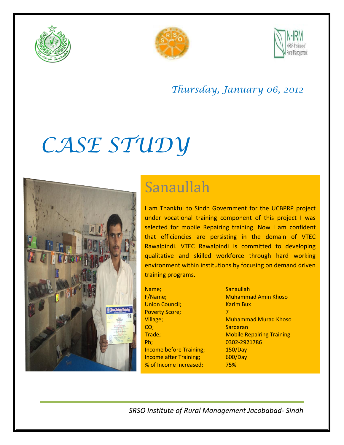





### *Thursday, January 06, 2012*

# *CASE STUDY*



## Sanaullah

I am Thankful to Sindh Government for the UCBPRP project under vocational training component of this project I was selected for mobile Repairing training. Now I am confident that efficiencies are persisting in the domain of VTEC Rawalpindi. VTEC Rawalpindi is committed to developing qualitative and skilled workforce through hard working environment within institutions by focusing on demand driven training programs.

Name: Sanaullah Union Council; The Council Council Council Council Council Council Council Council Council Council Council Council Council Council Council Council Council Council Council Council Council Council Council Council Council Cou Poverty Score; 7 CO; Sardaran Sardaran Sardaran Sardaran Sardaran Sardaran Sardaran Sardaran Sardaran Sardaran Sardaran Sardaran Ph; 0302-2921786 Income before Training; 150/Day Income after Training; 600/Day % of Income Increased; 75%

F/Name; Muhammad Amin Khoso Village; Muhammad Murad Khoso **Trade;** Trade; Trade; Training Training Training

*SRSO Institute of Rural Management Jacobabad- Sindh*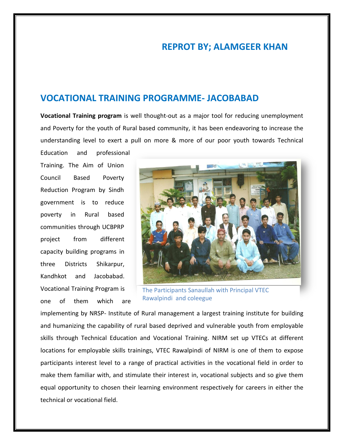### **REPROT BY; ALAMGEER KHAN**

#### **VOCATIONAL TRAINING PROGRAMME- JACOBABAD**

**Vocational Training program** is well thought-out as a major tool for reducing unemployment and Poverty for the youth of Rural based community, it has been endeavoring to increase the understanding level to exert a pull on more & more of our poor youth towards Technical

Education and professional Training. The Aim of Union Council Based Poverty Reduction Program by Sindh government is to reduce poverty in Rural based communities through UCBPRP project from different capacity building programs in three Districts Shikarpur, Kandhkot and Jacobabad. Vocational Training Program is one of them which are



The Participants Sanaullah with Principal VTEC Rawalpindi and coleegue

implementing by NRSP- Institute of Rural management a largest training institute for building and humanizing the capability of rural based deprived and vulnerable youth from employable skills through Technical Education and Vocational Training. NIRM set up VTECs at different locations for employable skills trainings, VTEC Rawalpindi of NIRM is one of them to expose participants interest level to a range of practical activities in the vocational field in order to make them familiar with, and stimulate their interest in, vocational subjects and so give them equal opportunity to chosen their learning environment respectively for careers in either the technical or vocational field.